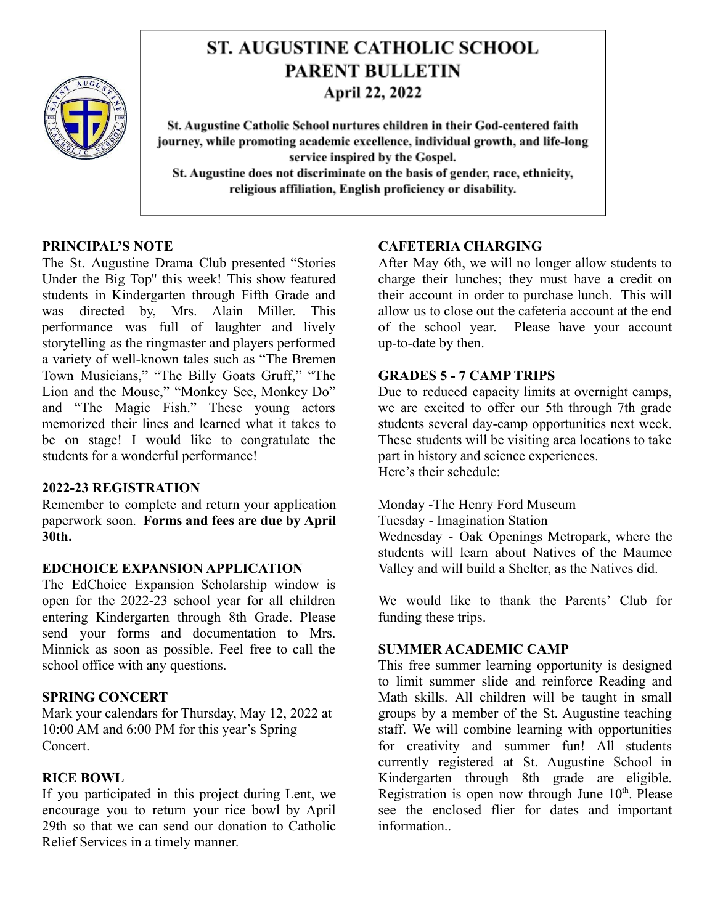

# **ST. AUGUSTINE CATHOLIC SCHOOL PARENT BULLETIN** April 22, 2022

St. Augustine Catholic School nurtures children in their God-centered faith journey, while promoting academic excellence, individual growth, and life-long service inspired by the Gospel. St. Augustine does not discriminate on the basis of gender, race, ethnicity, religious affiliation, English proficiency or disability.

#### **PRINCIPAL'S NOTE**

The St. Augustine Drama Club presented "Stories Under the Big Top'' this week! This show featured students in Kindergarten through Fifth Grade and was directed by, Mrs. Alain Miller. This performance was full of laughter and lively storytelling as the ringmaster and players performed a variety of well-known tales such as "The Bremen Town Musicians," "The Billy Goats Gruff," "The Lion and the Mouse," "Monkey See, Monkey Do" and "The Magic Fish." These young actors memorized their lines and learned what it takes to be on stage! I would like to congratulate the students for a wonderful performance!

#### **2022-23 REGISTRATION**

Remember to complete and return your application paperwork soon. **Forms and fees are due by April 30th.**

## **EDCHOICE EXPANSION APPLICATION**

The EdChoice Expansion Scholarship window is open for the 2022-23 school year for all children entering Kindergarten through 8th Grade. Please send your forms and documentation to Mrs. Minnick as soon as possible. Feel free to call the school office with any questions.

## **SPRING CONCERT**

Mark your calendars for Thursday, May 12, 2022 at 10:00 AM and 6:00 PM for this year's Spring Concert.

## **RICE BOWL**

If you participated in this project during Lent, we encourage you to return your rice bowl by April 29th so that we can send our donation to Catholic Relief Services in a timely manner.

## **CAFETERIA CHARGING**

After May 6th, we will no longer allow students to charge their lunches; they must have a credit on their account in order to purchase lunch. This will allow us to close out the cafeteria account at the end of the school year. Please have your account up-to-date by then.

#### **GRADES 5 - 7 CAMP TRIPS**

Due to reduced capacity limits at overnight camps, we are excited to offer our 5th through 7th grade students several day-camp opportunities next week. These students will be visiting area locations to take part in history and science experiences. Here's their schedule:

Monday -The Henry Ford Museum

Tuesday - Imagination Station

Wednesday - Oak Openings Metropark, where the students will learn about Natives of the Maumee Valley and will build a Shelter, as the Natives did.

We would like to thank the Parents' Club for funding these trips.

## **SUMMER ACADEMIC CAMP**

This free summer learning opportunity is designed to limit summer slide and reinforce Reading and Math skills. All children will be taught in small groups by a member of the St. Augustine teaching staff. We will combine learning with opportunities for creativity and summer fun! All students currently registered at St. Augustine School in Kindergarten through 8th grade are eligible. Registration is open now through June  $10<sup>th</sup>$ . Please see the enclosed flier for dates and important information..